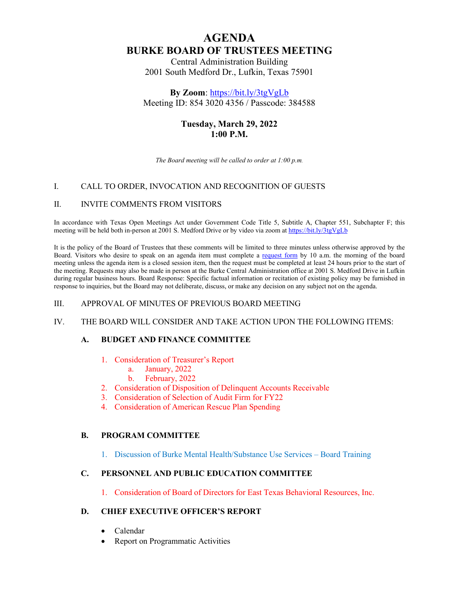# **AGENDA BURKE BOARD OF TRUSTEES MEETING**

Central Administration Building 2001 South Medford Dr., Lufkin, Texas 75901

**By Zoom**:<https://bit.ly/3tgVgLb> Meeting ID: 854 3020 4356 / Passcode: 384588

## **Tuesday, March 29, 2022 1:00 P.M.**

*The Board meeting will be called to order at 1:00 p.m.* 

### I. CALL TO ORDER, INVOCATION AND RECOGNITION OF GUESTS

#### II. INVITE COMMENTS FROM VISITORS

In accordance with Texas Open Meetings Act under Government Code Title 5, Subtitle A, Chapter 551, Subchapter F; this meeting will be held both in-person at 2001 S. Medford Drive or by video via zoom at<https://bit.ly/3tgVgLb>

It is the policy of the Board of Trustees that these comments will be limited to three minutes unless otherwise approved by the Board. Visitors who desire to speak on an agenda item must complete a [request form](https://myburke.org/request-to-address-the-board-of-trustees/) by 10 a.m. the morning of the board meeting unless the agenda item is a closed session item, then the request must be completed at least 24 hours prior to the start of the meeting. Requests may also be made in person at the Burke Central Administration office at 2001 S. Medford Drive in Lufkin during regular business hours. Board Response: Specific factual information or recitation of existing policy may be furnished in response to inquiries, but the Board may not deliberate, discuss, or make any decision on any subject not on the agenda.

#### III. APPROVAL OF MINUTES OF PREVIOUS BOARD MEETING

#### IV. THE BOARD WILL CONSIDER AND TAKE ACTION UPON THE FOLLOWING ITEMS:

#### **A. BUDGET AND FINANCE COMMITTEE**

- 1. Consideration of Treasurer's Report
	- a. January, 2022
	- b. February, 2022
- 2. Consideration of Disposition of Delinquent Accounts Receivable
- 3. Consideration of Selection of Audit Firm for FY22
- 4. Consideration of American Rescue Plan Spending

#### **B. PROGRAM COMMITTEE**

1. Discussion of Burke Mental Health/Substance Use Services – Board Training

#### **C. PERSONNEL AND PUBLIC EDUCATION COMMITTEE**

1. Consideration of Board of Directors for East Texas Behavioral Resources, Inc.

#### **D. CHIEF EXECUTIVE OFFICER'S REPORT**

- Calendar
- Report on Programmatic Activities